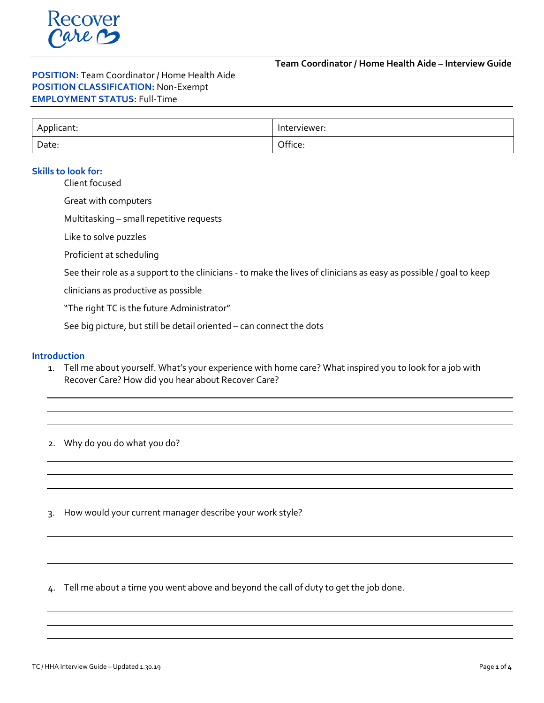**Team Coordinator / Home Health Aide – Interview Guide**

# **POSITION:** Team Coordinator / Home Health Aide **POSITION CLASSIFICATION:** Non-Exempt **EMPLOYMENT STATUS:** Full-Time

| Applicant: | Interviewer: |
|------------|--------------|
| Date:      | Office:      |

# **Skills to look for:**

Client focused

Great with computers

Multitasking – small repetitive requests

Like to solve puzzles

Proficient at scheduling

See their role as a support to the clinicians - to make the lives of clinicians as easy as possible / goal to keep

clinicians as productive as possible

"The right TC is the future Administrator"

See big picture, but still be detail oriented – can connect the dots

#### **Introduction**

1. Tell me about yourself. What's your experience with home care? What inspired you to look for a job with Recover Care? How did you hear about Recover Care?

2. Why do you do what you do?

3. How would your current manager describe your work style?

4. Tell me about a time you went above and beyond the call of duty to get the job done.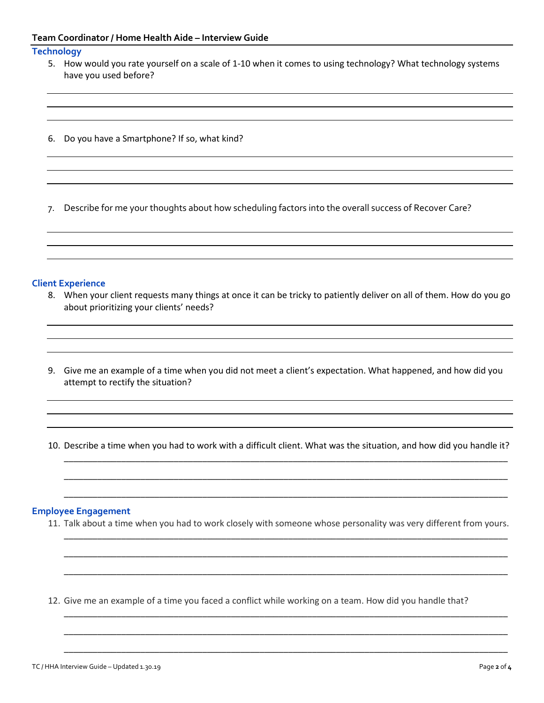### **Team Coordinator / Home Health Aide – Interview Guide**

### **Technology**

- 5. How would you rate yourself on a scale of 1-10 when it comes to using technology? What technology systems have you used before?
- 6. Do you have a Smartphone? If so, what kind?

7. Describe for me your thoughts about how scheduling factors into the overall success of Recover Care?

### **Client Experience**

- 8. When your client requests many things at once it can be tricky to patiently deliver on all of them. How do you go about prioritizing your clients' needs?
- 9. Give me an example of a time when you did not meet a client's expectation. What happened, and how did you attempt to rectify the situation?

10. Describe a time when you had to work with a difficult client. What was the situation, and how did you handle it?

\_\_\_\_\_\_\_\_\_\_\_\_\_\_\_\_\_\_\_\_\_\_\_\_\_\_\_\_\_\_\_\_\_\_\_\_\_\_\_\_\_\_\_\_\_\_\_\_\_\_\_\_\_\_\_\_\_\_\_\_\_\_\_\_\_\_\_\_\_\_\_\_\_\_\_\_\_\_\_\_\_\_\_\_\_\_\_\_\_\_\_\_\_

\_\_\_\_\_\_\_\_\_\_\_\_\_\_\_\_\_\_\_\_\_\_\_\_\_\_\_\_\_\_\_\_\_\_\_\_\_\_\_\_\_\_\_\_\_\_\_\_\_\_\_\_\_\_\_\_\_\_\_\_\_\_\_\_\_\_\_\_\_\_\_\_\_\_\_\_\_\_\_\_\_\_\_\_\_\_\_\_\_\_\_\_\_

\_\_\_\_\_\_\_\_\_\_\_\_\_\_\_\_\_\_\_\_\_\_\_\_\_\_\_\_\_\_\_\_\_\_\_\_\_\_\_\_\_\_\_\_\_\_\_\_\_\_\_\_\_\_\_\_\_\_\_\_\_\_\_\_\_\_\_\_\_\_\_\_\_\_\_\_\_\_\_\_\_\_\_\_\_\_\_\_\_\_\_\_\_

\_\_\_\_\_\_\_\_\_\_\_\_\_\_\_\_\_\_\_\_\_\_\_\_\_\_\_\_\_\_\_\_\_\_\_\_\_\_\_\_\_\_\_\_\_\_\_\_\_\_\_\_\_\_\_\_\_\_\_\_\_\_\_\_\_\_\_\_\_\_\_\_\_\_\_\_\_\_\_\_\_\_\_\_\_\_\_\_\_\_\_\_\_

\_\_\_\_\_\_\_\_\_\_\_\_\_\_\_\_\_\_\_\_\_\_\_\_\_\_\_\_\_\_\_\_\_\_\_\_\_\_\_\_\_\_\_\_\_\_\_\_\_\_\_\_\_\_\_\_\_\_\_\_\_\_\_\_\_\_\_\_\_\_\_\_\_\_\_\_\_\_\_\_\_\_\_\_\_\_\_\_\_\_\_\_\_

\_\_\_\_\_\_\_\_\_\_\_\_\_\_\_\_\_\_\_\_\_\_\_\_\_\_\_\_\_\_\_\_\_\_\_\_\_\_\_\_\_\_\_\_\_\_\_\_\_\_\_\_\_\_\_\_\_\_\_\_\_\_\_\_\_\_\_\_\_\_\_\_\_\_\_\_\_\_\_\_\_\_\_\_\_\_\_\_\_\_\_\_\_

\_\_\_\_\_\_\_\_\_\_\_\_\_\_\_\_\_\_\_\_\_\_\_\_\_\_\_\_\_\_\_\_\_\_\_\_\_\_\_\_\_\_\_\_\_\_\_\_\_\_\_\_\_\_\_\_\_\_\_\_\_\_\_\_\_\_\_\_\_\_\_\_\_\_\_\_\_\_\_\_\_\_\_\_\_\_\_\_\_\_\_\_\_

\_\_\_\_\_\_\_\_\_\_\_\_\_\_\_\_\_\_\_\_\_\_\_\_\_\_\_\_\_\_\_\_\_\_\_\_\_\_\_\_\_\_\_\_\_\_\_\_\_\_\_\_\_\_\_\_\_\_\_\_\_\_\_\_\_\_\_\_\_\_\_\_\_\_\_\_\_\_\_\_\_\_\_\_\_\_\_\_\_\_\_\_\_

\_\_\_\_\_\_\_\_\_\_\_\_\_\_\_\_\_\_\_\_\_\_\_\_\_\_\_\_\_\_\_\_\_\_\_\_\_\_\_\_\_\_\_\_\_\_\_\_\_\_\_\_\_\_\_\_\_\_\_\_\_\_\_\_\_\_\_\_\_\_\_\_\_\_\_\_\_\_\_\_\_\_\_\_\_\_\_\_\_\_\_\_\_

#### **Employee Engagement**

11. Talk about a time when you had to work closely with someone whose personality was very different from yours.

12. Give me an example of a time you faced a conflict while working on a team. How did you handle that?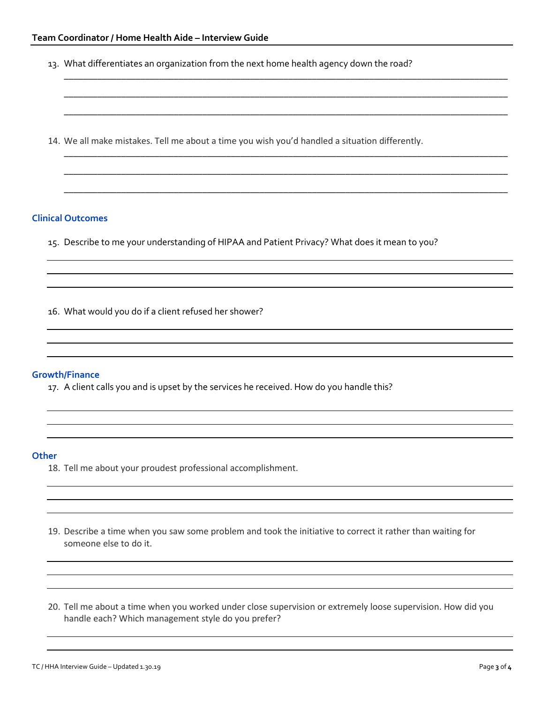13. What differentiates an organization from the next home health agency down the road?

\_\_\_\_\_\_\_\_\_\_\_\_\_\_\_\_\_\_\_\_\_\_\_\_\_\_\_\_\_\_\_\_\_\_\_\_\_\_\_\_\_\_\_\_\_\_\_\_\_\_\_\_\_\_\_\_\_\_\_\_\_\_\_\_\_\_\_\_\_\_\_\_\_\_\_\_\_\_\_\_\_\_\_\_\_\_\_\_\_\_\_\_\_

\_\_\_\_\_\_\_\_\_\_\_\_\_\_\_\_\_\_\_\_\_\_\_\_\_\_\_\_\_\_\_\_\_\_\_\_\_\_\_\_\_\_\_\_\_\_\_\_\_\_\_\_\_\_\_\_\_\_\_\_\_\_\_\_\_\_\_\_\_\_\_\_\_\_\_\_\_\_\_\_\_\_\_\_\_\_\_\_\_\_\_\_\_

\_\_\_\_\_\_\_\_\_\_\_\_\_\_\_\_\_\_\_\_\_\_\_\_\_\_\_\_\_\_\_\_\_\_\_\_\_\_\_\_\_\_\_\_\_\_\_\_\_\_\_\_\_\_\_\_\_\_\_\_\_\_\_\_\_\_\_\_\_\_\_\_\_\_\_\_\_\_\_\_\_\_\_\_\_\_\_\_\_\_\_\_\_

\_\_\_\_\_\_\_\_\_\_\_\_\_\_\_\_\_\_\_\_\_\_\_\_\_\_\_\_\_\_\_\_\_\_\_\_\_\_\_\_\_\_\_\_\_\_\_\_\_\_\_\_\_\_\_\_\_\_\_\_\_\_\_\_\_\_\_\_\_\_\_\_\_\_\_\_\_\_\_\_\_\_\_\_\_\_\_\_\_\_\_\_\_

\_\_\_\_\_\_\_\_\_\_\_\_\_\_\_\_\_\_\_\_\_\_\_\_\_\_\_\_\_\_\_\_\_\_\_\_\_\_\_\_\_\_\_\_\_\_\_\_\_\_\_\_\_\_\_\_\_\_\_\_\_\_\_\_\_\_\_\_\_\_\_\_\_\_\_\_\_\_\_\_\_\_\_\_\_\_\_\_\_\_\_\_\_

\_\_\_\_\_\_\_\_\_\_\_\_\_\_\_\_\_\_\_\_\_\_\_\_\_\_\_\_\_\_\_\_\_\_\_\_\_\_\_\_\_\_\_\_\_\_\_\_\_\_\_\_\_\_\_\_\_\_\_\_\_\_\_\_\_\_\_\_\_\_\_\_\_\_\_\_\_\_\_\_\_\_\_\_\_\_\_\_\_\_\_\_\_

14. We all make mistakes. Tell me about a time you wish you'd handled a situation differently.

## **Clinical Outcomes**

15. Describe to me your understanding of HIPAA and Patient Privacy? What does it mean to you?

16. What would you do if a client refused her shower?

#### **Growth/Finance**

17. A client calls you and is upset by the services he received. How do you handle this?

#### **Other**

- 18. Tell me about your proudest professional accomplishment.
- 19. Describe a time when you saw some problem and took the initiative to correct it rather than waiting for someone else to do it.
- 20. Tell me about a time when you worked under close supervision or extremely loose supervision. How did you handle each? Which management style do you prefer?